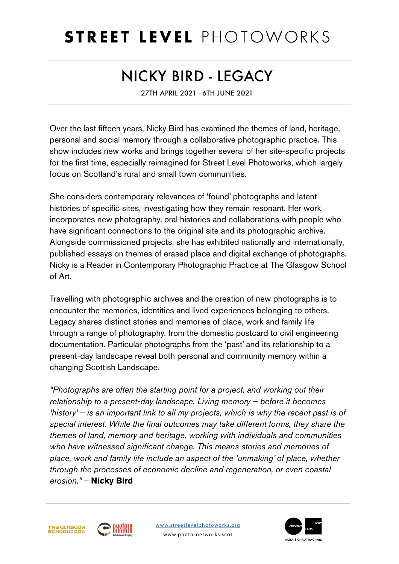Over the last fifteen years, Nicky Bird has examined the themes of land, heritage, personal and social memory through a collaborative photographic practice. This show includes new works and brings together several of her site-specific projects for the first time, especially reimagined for Street Level Photoworks, which largely focus on Scotland's rural and small town communities.

She considers contemporary relevances of 'found' photographs and latent histories of specific sites, investigating how they remain resonant. Her work incorporates new photography, oral histories and collaborations with people who have significant connections to the original site and its photographic archive. Alongside commissioned projects, she has exhibited nationally and internationally, published essays on themes of erased place and digital exchange of photographs. Nicky is a Reader in Contemporary Photographic Practice at The Glasgow School of Art.

Travelling with photographic archives and the creation of new photographs is to encounter the memories, identities and lived experiences belonging to others. Legacy shares distinct stories and memories of place, work and family life through a range of photography, from the domestic postcard to civil engineering documentation. Particular photographs from the 'past' and its relationship to a present-day landscape reveal both personal and community memory within a changing Scottish Landscape.

*"Photographs are often the starting point for a project, and working out their relationship to a present-day landscape. Living memory – before it becomes 'history' – is an important link to all my projects, which is why the recent past is of special interest. While the final outcomes may take different forms, they share the themes of land, memory and heritage, working with individuals and communities who have witnessed significant change. This means stories and memories of place, work and family life include an aspect of the 'unmaking' of place, whether through the processes of economic decline and regeneration, or even coastal erosion." –* **Nicky Bird**



# STREET LEVEL PHOTOWORKS

# NICKY BIRD - LEGACY

27TH APRIL 2021 - 6TH JUNE 2021

[www.streetlevelphotoworks.org](http://www.streetlevelphotoworks.org)

[www.photo-networks.scot](http://www.photo-networks.scot)



ALBA | CHRUTHACHAIL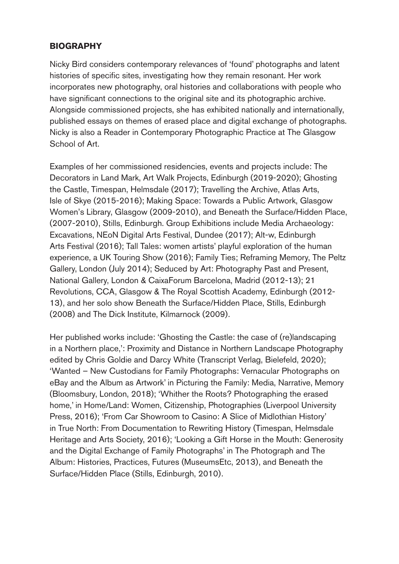Nicky Bird considers contemporary relevances of 'found' photographs and latent histories of specific sites, investigating how they remain resonant. Her work incorporates new photography, oral histories and collaborations with people who have significant connections to the original site and its photographic archive. Alongside commissioned projects, she has exhibited nationally and internationally, published essays on themes of erased place and digital exchange of photographs. Nicky is also a Reader in Contemporary Photographic Practice at The Glasgow School of Art.

Examples of her commissioned residencies, events and projects include: The Decorators in Land Mark, Art Walk Projects, Edinburgh (2019-2020); Ghosting the Castle, Timespan, Helmsdale (2017); Travelling the Archive, Atlas Arts, Isle of Skye (2015-2016); Making Space: Towards a Public Artwork, Glasgow Women's Library, Glasgow (2009-2010), and Beneath the Surface/Hidden Place, (2007-2010), Stills, Edinburgh. Group Exhibitions include Media Archaeology: Excavations, NEoN Digital Arts Festival, Dundee (2017); Alt-w, Edinburgh Arts Festival (2016); Tall Tales: women artists' playful exploration of the human experience, a UK Touring Show (2016); Family Ties; Reframing Memory, The Peltz Gallery, London (July 2014); Seduced by Art: Photography Past and Present, National Gallery, London & CaixaForum Barcelona, Madrid (2012-13); 21 Revolutions, CCA, Glasgow & The Royal Scottish Academy, Edinburgh (2012- 13), and her solo show Beneath the Surface/Hidden Place, Stills, Edinburgh (2008) and The Dick Institute, Kilmarnock (2009).

Her published works include: 'Ghosting the Castle: the case of (re)landscaping in a Northern place,': Proximity and Distance in Northern Landscape Photography edited by Chris Goldie and Darcy White (Transcript Verlag, Bielefeld, 2020); 'Wanted – New Custodians for Family Photographs: Vernacular Photographs on eBay and the Album as Artwork' in Picturing the Family: Media, Narrative, Memory (Bloomsbury, London, 2018); 'Whither the Roots? Photographing the erased home,' in Home/Land: Women, Citizenship, Photographies (Liverpool University Press, 2016); 'From Car Showroom to Casino: A Slice of Midlothian History' in True North: From Documentation to Rewriting History (Timespan, Helmsdale Heritage and Arts Society, 2016); 'Looking a Gift Horse in the Mouth: Generosity and the Digital Exchange of Family Photographs' in The Photograph and The Album: Histories, Practices, Futures (MuseumsEtc, 2013), and Beneath the Surface/Hidden Place (Stills, Edinburgh, 2010).

## **BIOGRAPHY**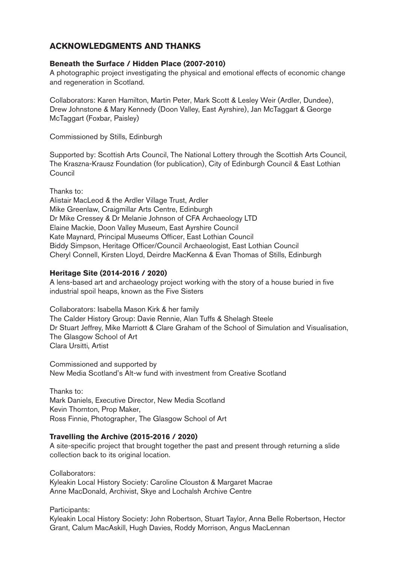#### **Beneath the Surface / Hidden Place (2007-2010)**

A photographic project investigating the physical and emotional effects of economic change and regeneration in Scotland.

Collaborators: Karen Hamilton, Martin Peter, Mark Scott & Lesley Weir (Ardler, Dundee), Drew Johnstone & Mary Kennedy (Doon Valley, East Ayrshire), Jan McTaggart & George McTaggart (Foxbar, Paisley)

Commissioned by Stills, Edinburgh

Supported by: Scottish Arts Council, The National Lottery through the Scottish Arts Council, The Kraszna-Krausz Foundation (for publication), City of Edinburgh Council & East Lothian Council

Thanks to:

Alistair MacLeod & the Ardler Village Trust, Ardler Mike Greenlaw, Craigmillar Arts Centre, Edinburgh Dr Mike Cressey & Dr Melanie Johnson of CFA Archaeology LTD Elaine Mackie, Doon Valley Museum, East Ayrshire Council Kate Maynard, Principal Museums Officer, East Lothian Council Biddy Simpson, Heritage Officer/Council Archaeologist, East Lothian Council Cheryl Connell, Kirsten Lloyd, Deirdre MacKenna & Evan Thomas of Stills, Edinburgh

#### **Heritage Site (2014-2016 / 2020)**

A lens-based art and archaeology project working with the story of a house buried in five industrial spoil heaps, known as the Five Sisters

Collaborators: Isabella Mason Kirk & her family The Calder History Group: Davie Rennie, Alan Tuffs & Shelagh Steele Dr Stuart Jeffrey, Mike Marriott & Clare Graham of the School of Simulation and Visualisation, The Glasgow School of Art Clara Ursitti, Artist

Commissioned and supported by New Media Scotland's Alt-w fund with investment from Creative Scotland

Thanks to: Mark Daniels, Executive Director, New Media Scotland Kevin Thornton, Prop Maker, Ross Finnie, Photographer, The Glasgow School of Art

#### **Travelling the Archive (2015-2016 / 2020)**

A site-specific project that brought together the past and present through returning a slide collection back to its original location.

Collaborators: Kyleakin Local History Society: Caroline Clouston & Margaret Macrae Anne MacDonald, Archivist, Skye and Lochalsh Archive Centre

Participants:

Kyleakin Local History Society: John Robertson, Stuart Taylor, Anna Belle Robertson, Hector Grant, Calum MacAskill, Hugh Davies, Roddy Morrison, Angus MacLennan

### **ACKNOWLEDGMENTS AND THANKS**